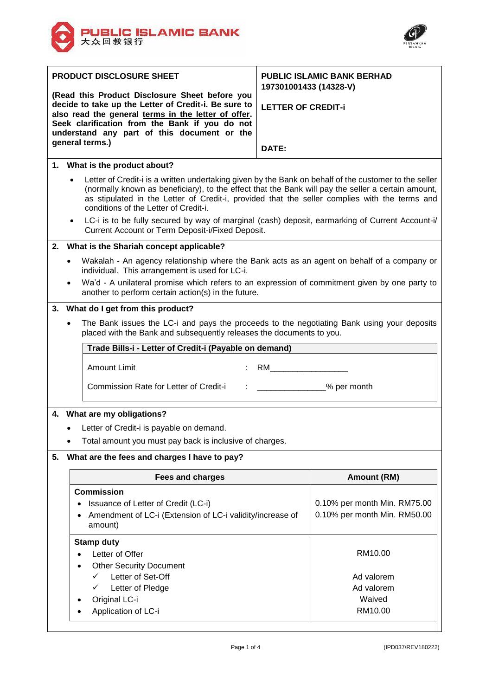



|                                                    | <b>PRODUCT DISCLOSURE SHEET</b>                                                                                                                                                                                                                                                                                                                       | <b>PUBLIC ISLAMIC BANK BERHAD</b>                   |  |  |  |
|----------------------------------------------------|-------------------------------------------------------------------------------------------------------------------------------------------------------------------------------------------------------------------------------------------------------------------------------------------------------------------------------------------------------|-----------------------------------------------------|--|--|--|
|                                                    | (Read this Product Disclosure Sheet before you<br>decide to take up the Letter of Credit-i. Be sure to<br>also read the general terms in the letter of offer.<br>Seek clarification from the Bank if you do not<br>understand any part of this document or the<br>general terms.)                                                                     | 197301001433 (14328-V)<br><b>LETTER OF CREDIT-i</b> |  |  |  |
|                                                    |                                                                                                                                                                                                                                                                                                                                                       | DATE:                                               |  |  |  |
|                                                    | 1. What is the product about?                                                                                                                                                                                                                                                                                                                         |                                                     |  |  |  |
|                                                    | Letter of Credit-i is a written undertaking given by the Bank on behalf of the customer to the seller<br>(normally known as beneficiary), to the effect that the Bank will pay the seller a certain amount,<br>as stipulated in the Letter of Credit-i, provided that the seller complies with the terms and<br>conditions of the Letter of Credit-i. |                                                     |  |  |  |
|                                                    | LC-i is to be fully secured by way of marginal (cash) deposit, earmarking of Current Account-i/<br>$\bullet$<br>Current Account or Term Deposit-i/Fixed Deposit.                                                                                                                                                                                      |                                                     |  |  |  |
| 2.                                                 | What is the Shariah concept applicable?                                                                                                                                                                                                                                                                                                               |                                                     |  |  |  |
|                                                    | Wakalah - An agency relationship where the Bank acts as an agent on behalf of a company or<br>individual. This arrangement is used for LC-i.<br>Wa'd - A unilateral promise which refers to an expression of commitment given by one party to<br>another to perform certain action(s) in the future.                                                  |                                                     |  |  |  |
|                                                    | 3. What do I get from this product?                                                                                                                                                                                                                                                                                                                   |                                                     |  |  |  |
|                                                    | The Bank issues the LC-i and pays the proceeds to the negotiating Bank using your deposits<br>placed with the Bank and subsequently releases the documents to you.                                                                                                                                                                                    |                                                     |  |  |  |
|                                                    | Trade Bills-i - Letter of Credit-i (Payable on demand)                                                                                                                                                                                                                                                                                                |                                                     |  |  |  |
|                                                    | <b>Amount Limit</b>                                                                                                                                                                                                                                                                                                                                   | RM <b>RM</b>                                        |  |  |  |
|                                                    | Commission Rate for Letter of Credit-i                                                                                                                                                                                                                                                                                                                | <b>Example 26 your permonth</b>                     |  |  |  |
| What are my obligations?<br>4.                     |                                                                                                                                                                                                                                                                                                                                                       |                                                     |  |  |  |
| Letter of Credit-i is payable on demand.           |                                                                                                                                                                                                                                                                                                                                                       |                                                     |  |  |  |
|                                                    | Total amount you must pay back is inclusive of charges.                                                                                                                                                                                                                                                                                               |                                                     |  |  |  |
| 5.<br>What are the fees and charges I have to pay? |                                                                                                                                                                                                                                                                                                                                                       |                                                     |  |  |  |
|                                                    | <b>Fees and charges</b>                                                                                                                                                                                                                                                                                                                               | Amount (RM)                                         |  |  |  |
|                                                    | <b>Commission</b>                                                                                                                                                                                                                                                                                                                                     |                                                     |  |  |  |
|                                                    | Issuance of Letter of Credit (LC-i)<br>$\bullet$                                                                                                                                                                                                                                                                                                      | 0.10% per month Min. RM75.00                        |  |  |  |
|                                                    | Amendment of LC-i (Extension of LC-i validity/increase of<br>amount)                                                                                                                                                                                                                                                                                  | 0.10% per month Min. RM50.00                        |  |  |  |
|                                                    | <b>Stamp duty</b>                                                                                                                                                                                                                                                                                                                                     |                                                     |  |  |  |
|                                                    | Letter of Offer                                                                                                                                                                                                                                                                                                                                       | RM10.00                                             |  |  |  |
|                                                    | <b>Other Security Document</b><br>$\checkmark$                                                                                                                                                                                                                                                                                                        |                                                     |  |  |  |
|                                                    | Letter of Set-Off<br>Letter of Pledge<br>✓                                                                                                                                                                                                                                                                                                            | Ad valorem<br>Ad valorem                            |  |  |  |
|                                                    | Original LC-i                                                                                                                                                                                                                                                                                                                                         | Waived                                              |  |  |  |
|                                                    | Application of LC-i                                                                                                                                                                                                                                                                                                                                   | RM10.00                                             |  |  |  |
|                                                    |                                                                                                                                                                                                                                                                                                                                                       |                                                     |  |  |  |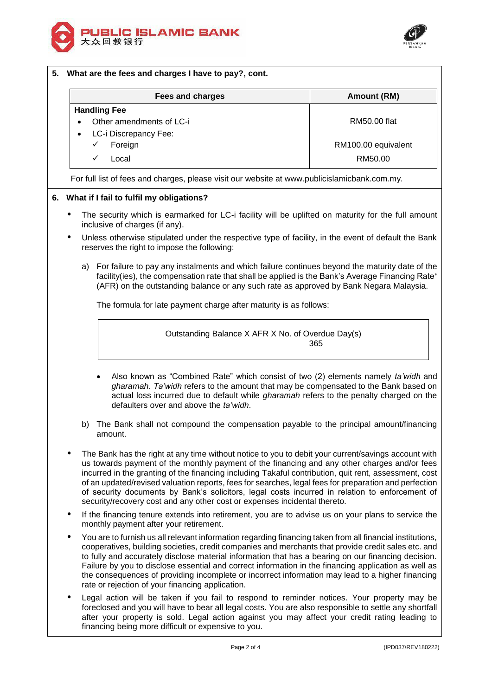



# **5. What are the fees and charges I have to pay?, cont. Fees and charges Amount (RM) Handling Fee** Other amendments of LC-i RM50.00 flat LC-i Discrepancy Fee: Foreign **RM100.00** equivalent Local RM50.00

For full list of fees and charges, please visit our website at www.publicislamicbank.com.my.

## **6. What if I fail to fulfil my obligations?**

- The security which is earmarked for LC-i facility will be uplifted on maturity for the full amount inclusive of charges (if any).
- Unless otherwise stipulated under the respective type of facility, in the event of default the Bank reserves the right to impose the following:
	- a) For failure to pay any instalments and which failure continues beyond the maturity date of the facility(ies), the compensation rate that shall be applied is the Bank's Average Financing Rate (AFR) on the outstanding balance or any such rate as approved by Bank Negara Malaysia.

The formula for late payment charge after maturity is as follows:

Outstanding Balance X AFR X No. of Overdue Day(s) 365

- Also known as "Combined Rate" which consist of two (2) elements namely *ta'widh* and *gharamah*. *Ta'widh* refers to the amount that may be compensated to the Bank based on actual loss incurred due to default while *gharamah* refers to the penalty charged on the defaulters over and above the *ta'widh*.
- b) The Bank shall not compound the compensation payable to the principal amount/financing amount.
- The Bank has the right at any time without notice to you to debit your current/savings account with us towards payment of the monthly payment of the financing and any other charges and/or fees incurred in the granting of the financing including Takaful contribution, quit rent, assessment, cost of an updated/revised valuation reports, fees for searches, legal fees for preparation and perfection of security documents by Bank's solicitors, legal costs incurred in relation to enforcement of security/recovery cost and any other cost or expenses incidental thereto.
- If the financing tenure extends into retirement, you are to advise us on your plans to service the monthly payment after your retirement.
- You are to furnish us all relevant information regarding financing taken from all financial institutions, cooperatives, building societies, credit companies and merchants that provide credit sales etc. and to fully and accurately disclose material information that has a bearing on our financing decision. Failure by you to disclose essential and correct information in the financing application as well as the consequences of providing incomplete or incorrect information may lead to a higher financing rate or rejection of your financing application.
- Legal action will be taken if you fail to respond to reminder notices. Your property may be foreclosed and you will have to bear all legal costs. You are also responsible to settle any shortfall after your property is sold. Legal action against you may affect your credit rating leading to financing being more difficult or expensive to you.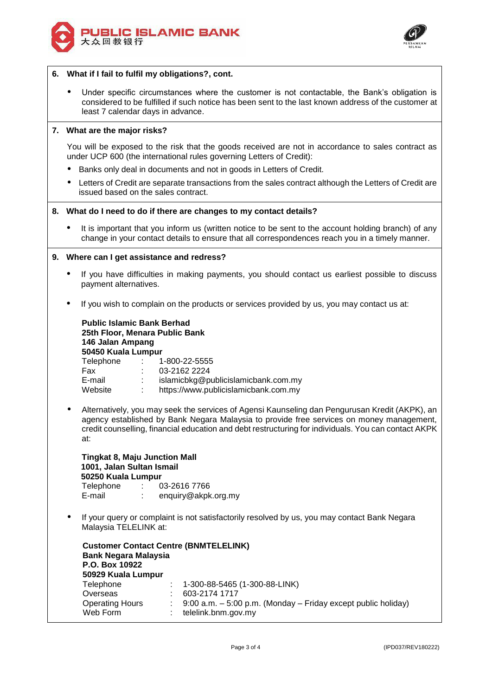



#### **6. What if I fail to fulfil my obligations?, cont.**

 Under specific circumstances where the customer is not contactable, the Bank's obligation is considered to be fulfilled if such notice has been sent to the last known address of the customer at least 7 calendar days in advance.

## **7. What are the major risks?**

You will be exposed to the risk that the goods received are not in accordance to sales contract as under UCP 600 (the international rules governing Letters of Credit):

- Banks only deal in documents and not in goods in Letters of Credit.
- Letters of Credit are separate transactions from the sales contract although the Letters of Credit are issued based on the sales contract.

#### **8. What do I need to do if there are changes to my contact details?**

 It is important that you inform us (written notice to be sent to the account holding branch) of any change in your contact details to ensure that all correspondences reach you in a timely manner.

#### **9. Where can I get assistance and redress?**

- If you have difficulties in making payments, you should contact us earliest possible to discuss payment alternatives.
- If you wish to complain on the products or services provided by us, you may contact us at:

| <b>Public Islamic Bank Berhad</b><br>25th Floor, Menara Public Bank<br>146 Jalan Ampang<br>50450 Kuala Lumpur |  |  |  |  |
|---------------------------------------------------------------------------------------------------------------|--|--|--|--|
| Telephone<br>1-800-22-5555<br>$\sim 10^{-11}$                                                                 |  |  |  |  |
| 03-2162 2224<br>Fax<br>$\mathcal{L}^{\text{max}}$                                                             |  |  |  |  |
| islamicbkg@publicislamicbank.com.my<br>E-mail<br>t.                                                           |  |  |  |  |
| https://www.publicislamicbank.com.my<br>Website                                                               |  |  |  |  |

 Alternatively, you may seek the services of Agensi Kaunseling dan Pengurusan Kredit (AKPK), an agency established by Bank Negara Malaysia to provide free services on money management, credit counselling, financial education and debt restructuring for individuals. You can contact AKPK at:

**Tingkat 8, Maju Junction Mall 1001, Jalan Sultan Ismail 50250 Kuala Lumpur** Telephone : 03-2616 7766 E-mail : enquiry@akpk.org.my

 If your query or complaint is not satisfactorily resolved by us, you may contact Bank Negara Malaysia TELELINK at:

| <b>Customer Contact Centre (BNMTELELINK)</b> |  |                                                                    |  |  |  |
|----------------------------------------------|--|--------------------------------------------------------------------|--|--|--|
| <b>Bank Negara Malaysia</b>                  |  |                                                                    |  |  |  |
| P.O. Box 10922                               |  |                                                                    |  |  |  |
| 50929 Kuala Lumpur                           |  |                                                                    |  |  |  |
| Telephone                                    |  | $\pm 1$ -300-88-5465 (1-300-88-LINK)                               |  |  |  |
| Overseas                                     |  | 603-2174 1717                                                      |  |  |  |
| <b>Operating Hours</b>                       |  | $9:00$ a.m. $-5:00$ p.m. (Monday $-$ Friday except public holiday) |  |  |  |
| Web Form                                     |  | telelink.bnm.gov.my                                                |  |  |  |